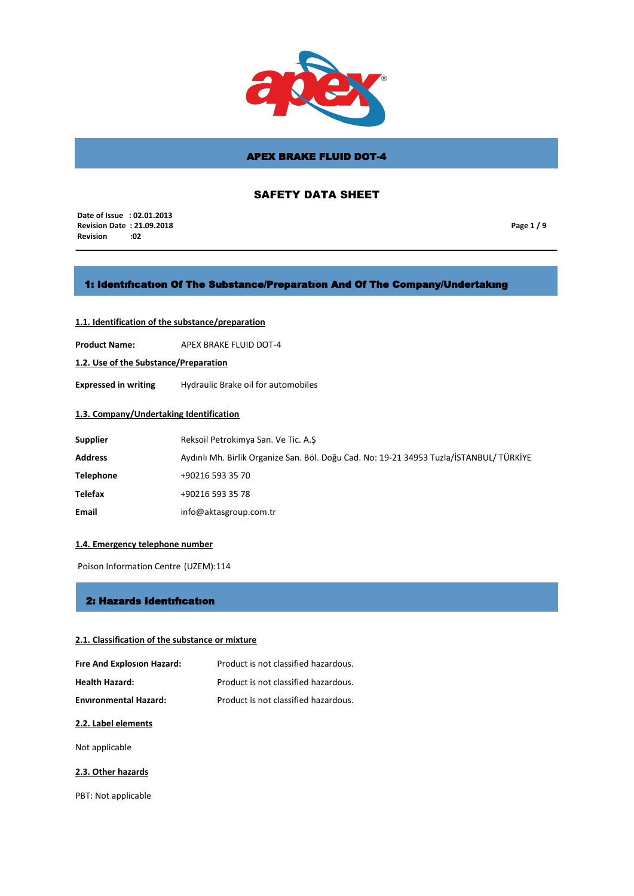

# SAFETY DATA SHEET

 **Date of Issue : 02.01.2013 Revision Date : 21.09.2018 Revision :02**

**Page 1 / 9**

## 1: Identıfıcatıon Of The Substance/Preparatıon And Of The Company/Undertakıng

# **1.1. Identification of the substance/preparation**

**Product Name:** APEX BRAKE FLUID DOT-4

**1.2. Use of the Substance/Preparation**

**Expressed in writing** Hydraulic Brake oil for automobiles

## **1.3. Company/Undertaking Identification**

| <b>Supplier</b>  | Reksoil Petrokimya San. Ve Tic. A.S                                                     |
|------------------|-----------------------------------------------------------------------------------------|
| <b>Address</b>   | Aydınlı Mh. Birlik Organize San. Böl. Doğu Cad. No: 19-21 34953 Tuzla/İSTANBUL/ TÜRKİYE |
| <b>Telephone</b> | +90216 593 35 70                                                                        |
| Telefax          | +90216 593 35 78                                                                        |
| Email            | info@aktasgroup.com.tr                                                                  |

## **1.4. Emergency telephone number**

Poison Information Centre (UZEM):114

## 2: Hazards Identıfıcatıon

## **2.1. Classification of the substance or mixture**

| Fire And Explosion Hazard:   | Product is not classified hazardous. |
|------------------------------|--------------------------------------|
| <b>Health Hazard:</b>        | Product is not classified hazardous. |
| <b>Environmental Hazard:</b> | Product is not classified hazardous. |

### **2.2. Label elements**

Not applicable

### **2.3. Other hazards**

PBT: Not applicable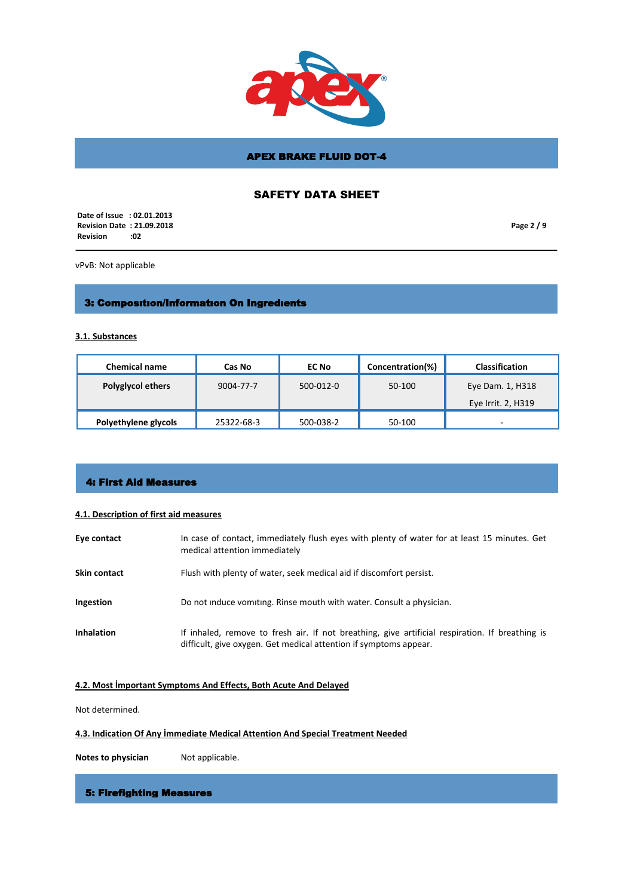

# SAFETY DATA SHEET

 **Date of Issue : 02.01.2013 Revision Date : 21.09.2018 Revision** 

**Page 2 / 9**

vPvB: Not applicable

# 3: Composıtıon/Informatıon On Ingredıents

**3.1. Substances**

| <b>Chemical name</b>     | Cas No     | EC No     | Concentration(%) | <b>Classification</b> |
|--------------------------|------------|-----------|------------------|-----------------------|
| <b>Polyglycol ethers</b> | 9004-77-7  | 500-012-0 | 50-100           | Eye Dam. 1, H318      |
|                          |            |           |                  | Eye Irrit. 2, H319    |
| Polyethylene glycols     | 25322-68-3 | 500-038-2 | 50-100           | -                     |

## 4: First Aid Measures

## **4.1. Description of first aid measures**

| Eye contact       | In case of contact, immediately flush eyes with plenty of water for at least 15 minutes. Get<br>medical attention immediately                                        |
|-------------------|----------------------------------------------------------------------------------------------------------------------------------------------------------------------|
| Skin contact      | Flush with plenty of water, seek medical aid if discomfort persist.                                                                                                  |
| Ingestion         | Do not induce vomiting. Rinse mouth with water. Consult a physician.                                                                                                 |
| <b>Inhalation</b> | If inhaled, remove to fresh air. If not breathing, give artificial respiration. If breathing is<br>difficult, give oxygen. Get medical attention if symptoms appear. |

# **4.2. Most İmportant Symptoms And Effects, Both Acute And Delayed**

Not determined.

## **4.3. Indication Of Any İmmediate Medical Attention And Special Treatment Needed**

**Notes to physician** Not applicable.

# 5: Firefighting Measures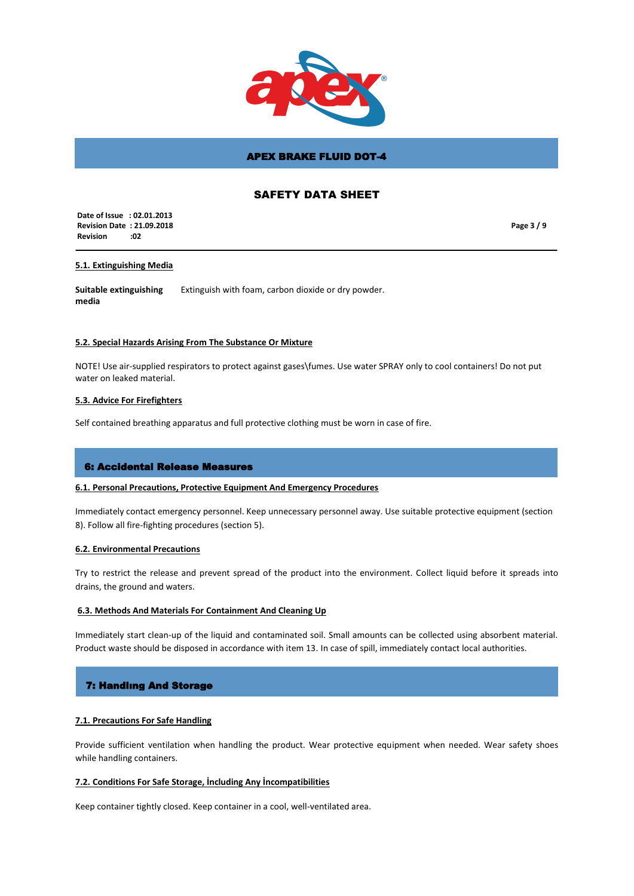

# SAFETY DATA SHEET

 **Date of Issue : 02.01.2013 Revision Date : 21.09.2018 Revision :02**

**Page 3 / 9**

## **5.1. Extinguishing Media**

**Suitable extinguishing media** Extinguish with foam, carbon dioxide or dry powder.

### **5.2. Special Hazards Arising From The Substance Or Mixture**

NOTE! Use air-supplied respirators to protect against gases\fumes. Use water SPRAY only to cool containers! Do not put water on leaked material.

## **5.3. Advice For Firefighters**

Self contained breathing apparatus and full protective clothing must be worn in case of fire.

## 6: Accidental Release Measures

# **6.1. Personal Precautions, Protective Equipment And Emergency Procedures**

Immediately contact emergency personnel. Keep unnecessary personnel away. Use suitable protective equipment (section 8). Follow all fire-fighting procedures (section 5).

### **6.2. Environmental Precautions**

Try to restrict the release and prevent spread of the product into the environment. Collect liquid before it spreads into drains, the ground and waters.

### **6.3. Methods And Materials For Containment And Cleaning Up**

Immediately start clean-up of the liquid and contaminated soil. Small amounts can be collected using absorbent material. Product waste should be disposed in accordance with item 13. In case of spill, immediately contact local authorities.

## 7: Handlıng And Storage

## **7.1. Precautions For Safe Handling**

Provide sufficient ventilation when handling the product. Wear protective equipment when needed. Wear safety shoes while handling containers.

## **7.2. Conditions For Safe Storage, İncluding Any İncompatibilities**

Keep container tightly closed. Keep container in a cool, well-ventilated area.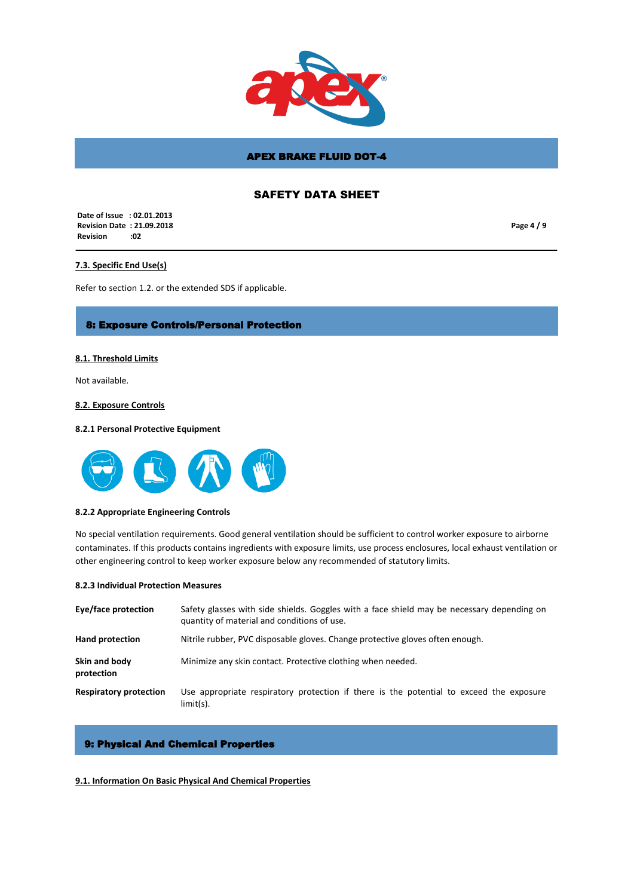

# SAFETY DATA SHEET

 **Date of Issue : 02.01.2013 Revision Date : 21.09.2018 Revision :02**

**Page 4 / 9**

## **7.3. Specific End Use(s)**

Refer to section 1.2. or the extended SDS if applicable.

## 8: Exposure Controls/Personal Protection

### **8.1. Threshold Limits**

Not available.

### **8.2. Exposure Controls**

### **8.2.1 Personal Protective Equipment**



#### **8.2.2 Appropriate Engineering Controls**

No special ventilation requirements. Good general ventilation should be sufficient to control worker exposure to airborne contaminates. If this products contains ingredients with exposure limits, use process enclosures, local exhaust ventilation or other engineering control to keep worker exposure below any recommended of statutory limits.

### **8.2.3 Individual Protection Measures**

| Eye/face protection           | Safety glasses with side shields. Goggles with a face shield may be necessary depending on<br>quantity of material and conditions of use. |
|-------------------------------|-------------------------------------------------------------------------------------------------------------------------------------------|
| <b>Hand protection</b>        | Nitrile rubber, PVC disposable gloves. Change protective gloves often enough.                                                             |
| Skin and body<br>protection   | Minimize any skin contact. Protective clothing when needed.                                                                               |
| <b>Respiratory protection</b> | Use appropriate respiratory protection if there is the potential to exceed the exposure<br>$limit(s)$ .                                   |

## 9: Physical And Chemical Properties

### **9.1. Information On Basic Physical And Chemical Properties**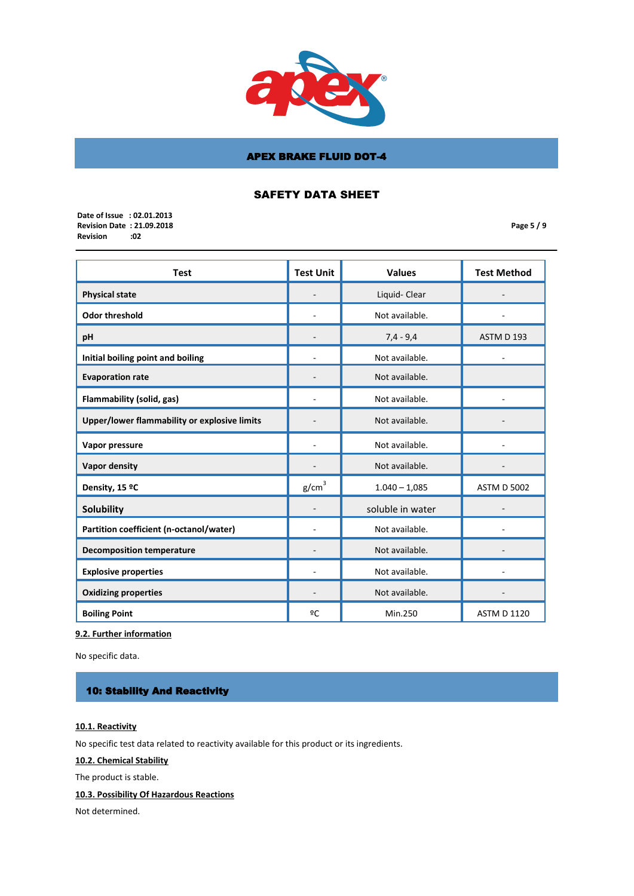

# SAFETY DATA SHEET

 **Date of Issue : 02.01.2013 Revision Date : 21.09.2018 Revision** 

**Page 5 / 9**

| <b>Test</b>                                  | <b>Test Unit</b>  | <b>Values</b>    | <b>Test Method</b> |
|----------------------------------------------|-------------------|------------------|--------------------|
| <b>Physical state</b>                        |                   | Liquid- Clear    |                    |
| <b>Odor threshold</b>                        |                   | Not available.   |                    |
| pH                                           |                   | $7,4 - 9,4$      | ASTM D 193         |
| Initial boiling point and boiling            |                   | Not available.   |                    |
| <b>Evaporation rate</b>                      |                   | Not available.   |                    |
| Flammability (solid, gas)                    |                   | Not available.   |                    |
| Upper/lower flammability or explosive limits |                   | Not available.   |                    |
| Vapor pressure                               |                   | Not available.   |                    |
| Vapor density                                |                   | Not available.   |                    |
| Density, 15 °C                               | g/cm <sup>3</sup> | $1.040 - 1.085$  | <b>ASTM D 5002</b> |
| Solubility                                   |                   | soluble in water |                    |
| Partition coefficient (n-octanol/water)      |                   | Not available.   |                    |
| <b>Decomposition temperature</b>             |                   | Not available.   |                    |
| <b>Explosive properties</b>                  |                   | Not available.   |                    |
| <b>Oxidizing properties</b>                  |                   | Not available.   |                    |
| <b>Boiling Point</b>                         | ºC                | Min.250          | <b>ASTM D 1120</b> |

**9.2. Further information**

No specific data.

# 10: Stability And Reactivity

# **10.1. Reactivity**

No specific test data related to reactivity available for this product or its ingredients.

**10.2. Chemical Stability**

The product is stable.

# **10.3. Possibility Of Hazardous Reactions**

Not determined.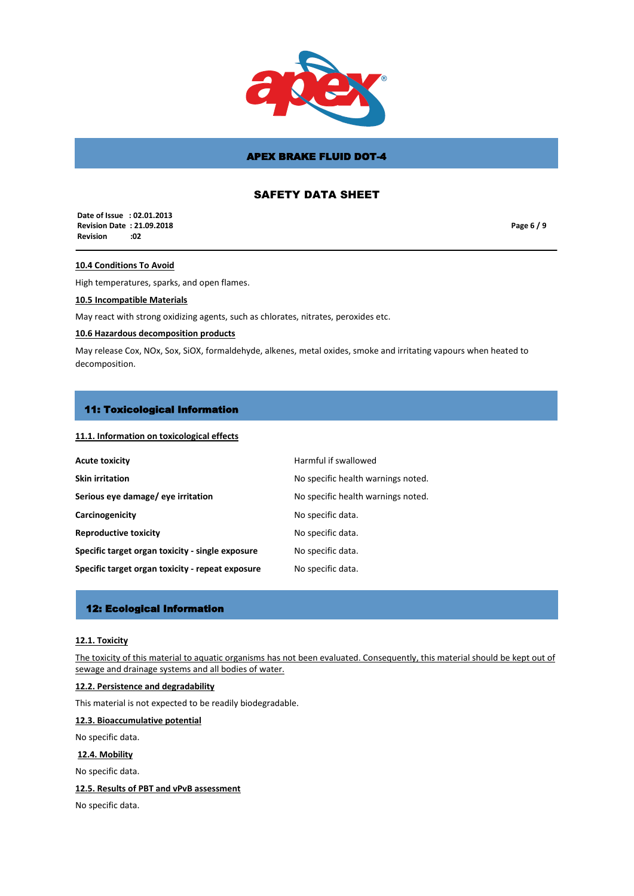

# SAFETY DATA SHEET

 **Date of Issue : 02.01.2013 Revision Date : 21.09.2018 Revision :02**

**Page 6 / 9**

## **10.4 Conditions To Avoid**

High temperatures, sparks, and open flames.

## **10.5 Incompatible Materials**

May react with strong oxidizing agents, such as chlorates, nitrates, peroxides etc.

### **10.6 Hazardous decomposition products**

May release Cox, NOx, Sox, SiOX, formaldehyde, alkenes, metal oxides, smoke and irritating vapours when heated to decomposition.

### 11: Toxicological Information

## **11.1. Information on toxicological effects**

| <b>Acute toxicity</b>                            | Harmful if swallowed               |
|--------------------------------------------------|------------------------------------|
| <b>Skin irritation</b>                           | No specific health warnings noted. |
| Serious eye damage/ eye irritation               | No specific health warnings noted. |
| Carcinogenicity                                  | No specific data.                  |
| <b>Reproductive toxicity</b>                     | No specific data.                  |
| Specific target organ toxicity - single exposure | No specific data.                  |
| Specific target organ toxicity - repeat exposure | No specific data.                  |

## 12: Ecological Information

### **12.1. Toxicity**

The toxicity of this material to aquatic organisms has not been evaluated. Consequently, this material should be kept out of sewage and drainage systems and all bodies of water.

# **12.2. Persistence and degradability**

This material is not expected to be readily biodegradable.

### **12.3. Bioaccumulative potential**

No specific data.

## **12.4. Mobility**

No specific data.

**12.5. Results of PBT and vPvB assessment**

No specific data.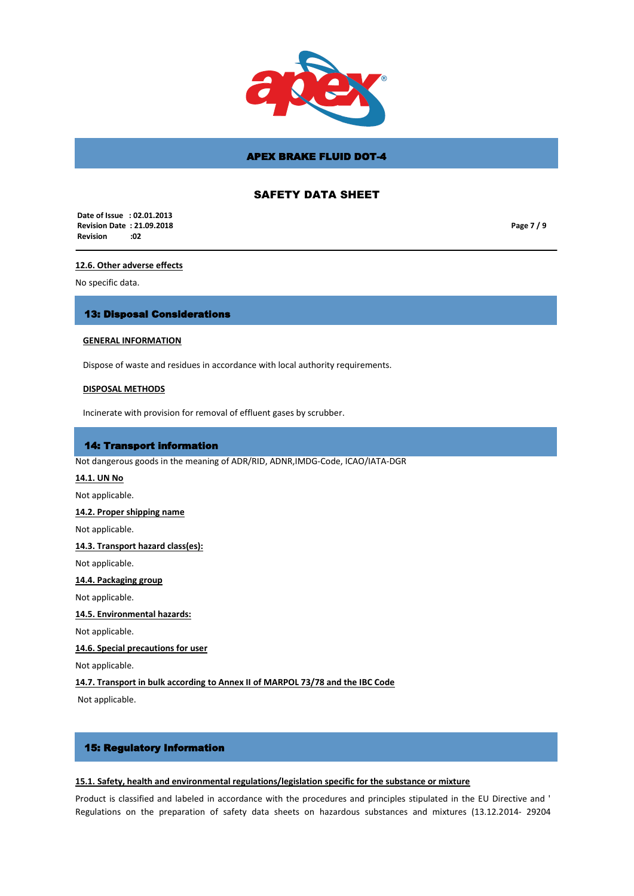

# SAFETY DATA SHEET

 **Date of Issue : 02.01.2013 Revision Date : 21.09.2018 Revision :02**

**Page 7 / 9**

### **12.6. Other adverse effects**

No specific data.

## 13: Disposal Considerations

### **GENERAL INFORMATION**

Dispose of waste and residues in accordance with local authority requirements.

### **DISPOSAL METHODS**

Incinerate with provision for removal of effluent gases by scrubber.

## 14: Transport information

Not dangerous goods in the meaning of ADR/RID, ADNR,IMDG-Code, ICAO/IATA-DGR

## **14.1. UN No**

Not applicable.

#### **14.2. Proper shipping name**

Not applicable.

#### **14.3. Transport hazard class(es):**

Not applicable.

## **14.4. Packaging group**

Not applicable.

### **14.5. Environmental hazards:**

Not applicable.

## **14.6. Special precautions for user**

Not applicable.

# **14.7. Transport in bulk according to Annex II of MARPOL 73/78 and the IBC Code**

Not applicable.

## 15: Regulatory Information

### **15.1. Safety, health and environmental regulations/legislation specific for the substance or mixture**

Product is classified and labeled in accordance with the procedures and principles stipulated in the EU Directive and ' Regulations on the preparation of safety data sheets on hazardous substances and mixtures (13.12.2014- 29204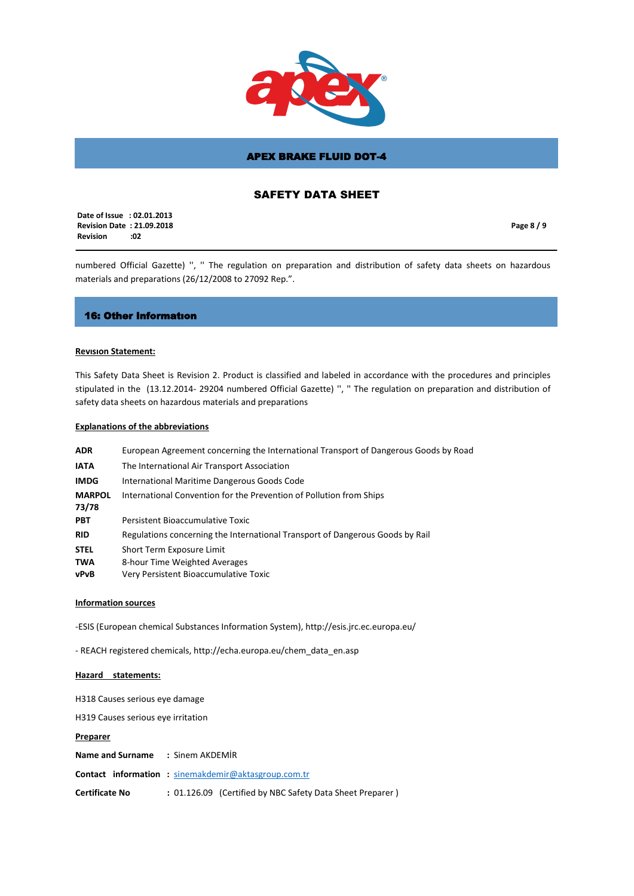

# SAFETY DATA SHEET

 **Date of Issue : 02.01.2013 Revision Date : 21.09.2018 Revision :02**

**Page 8 / 9**

numbered Official Gazette) '', '' The regulation on preparation and distribution of safety data sheets on hazardous materials and preparations (26/12/2008 to 27092 Rep.".

### 16: Other Informatıon

### **Revısıon Statement:**

This Safety Data Sheet is Revision 2. Product is classified and labeled in accordance with the procedures and principles stipulated in the (13.12.2014- 29204 numbered Official Gazette) '', '' The regulation on preparation and distribution of safety data sheets on hazardous materials and preparations

### **Explanations of the abbreviations**

| <b>ADR</b>             | European Agreement concerning the International Transport of Dangerous Goods by Road |
|------------------------|--------------------------------------------------------------------------------------|
| <b>IATA</b>            | The International Air Transport Association                                          |
| <b>IMDG</b>            | International Maritime Dangerous Goods Code                                          |
| <b>MARPOL</b><br>73/78 | International Convention for the Prevention of Pollution from Ships                  |
| <b>PBT</b>             | Persistent Bioaccumulative Toxic                                                     |
| <b>RID</b>             | Regulations concerning the International Transport of Dangerous Goods by Rail        |
| <b>STEL</b>            | Short Term Exposure Limit                                                            |
| <b>TWA</b>             | 8-hour Time Weighted Averages                                                        |
| vPvB                   | Very Persistent Bioaccumulative Toxic                                                |

### **Information sources**

-ESIS (European chemical Substances Information System), http://esis.jrc.ec.europa.eu/

- REACH registered chemicals, http://echa.europa.eu/chem\_data\_en.asp

### **Hazard statements:**

H318 Causes serious eye damage

H319 Causes serious eye irritation

**Preparer**

| <b>Name and Surname : Sinem AKDEMIR</b> |                                                            |  |
|-----------------------------------------|------------------------------------------------------------|--|
|                                         | <b>Contact information:</b> sinemakdemir@aktasgroup.com.tr |  |
| Certificate No                          | : 01.126.09 (Certified by NBC Safety Data Sheet Preparer)  |  |